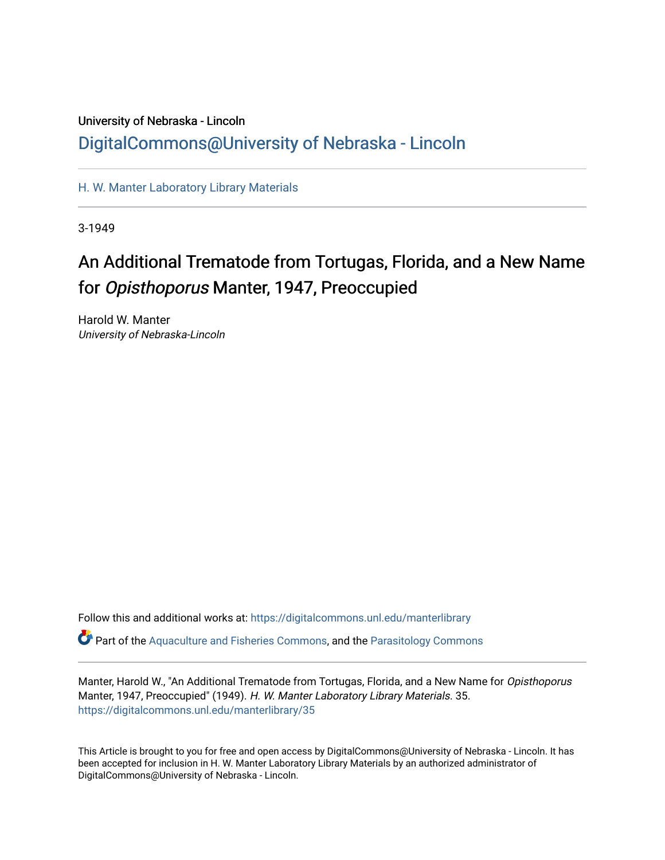## University of Nebraska - Lincoln [DigitalCommons@University of Nebraska - Lincoln](https://digitalcommons.unl.edu/)

[H. W. Manter Laboratory Library Materials](https://digitalcommons.unl.edu/manterlibrary) 

3-1949

# An Additional Trematode from Tortugas, Florida, and a New Name for Opisthoporus Manter, 1947, Preoccupied

Harold W. Manter University of Nebraska-Lincoln

Follow this and additional works at: [https://digitalcommons.unl.edu/manterlibrary](https://digitalcommons.unl.edu/manterlibrary?utm_source=digitalcommons.unl.edu%2Fmanterlibrary%2F35&utm_medium=PDF&utm_campaign=PDFCoverPages)   $\bullet$  Part of the [Aquaculture and Fisheries Commons](http://network.bepress.com/hgg/discipline/78?utm_source=digitalcommons.unl.edu%2Fmanterlibrary%2F35&utm_medium=PDF&utm_campaign=PDFCoverPages), and the [Parasitology Commons](http://network.bepress.com/hgg/discipline/39?utm_source=digitalcommons.unl.edu%2Fmanterlibrary%2F35&utm_medium=PDF&utm_campaign=PDFCoverPages)

Manter, Harold W., "An Additional Trematode from Tortugas, Florida, and a New Name for Opisthoporus Manter, 1947, Preoccupied" (1949). H. W. Manter Laboratory Library Materials. 35.

[https://digitalcommons.unl.edu/manterlibrary/35](https://digitalcommons.unl.edu/manterlibrary/35?utm_source=digitalcommons.unl.edu%2Fmanterlibrary%2F35&utm_medium=PDF&utm_campaign=PDFCoverPages)

This Article is brought to you for free and open access by DigitalCommons@University of Nebraska - Lincoln. It has been accepted for inclusion in H. W. Manter Laboratory Library Materials by an authorized administrator of DigitalCommons@University of Nebraska - Lincoln.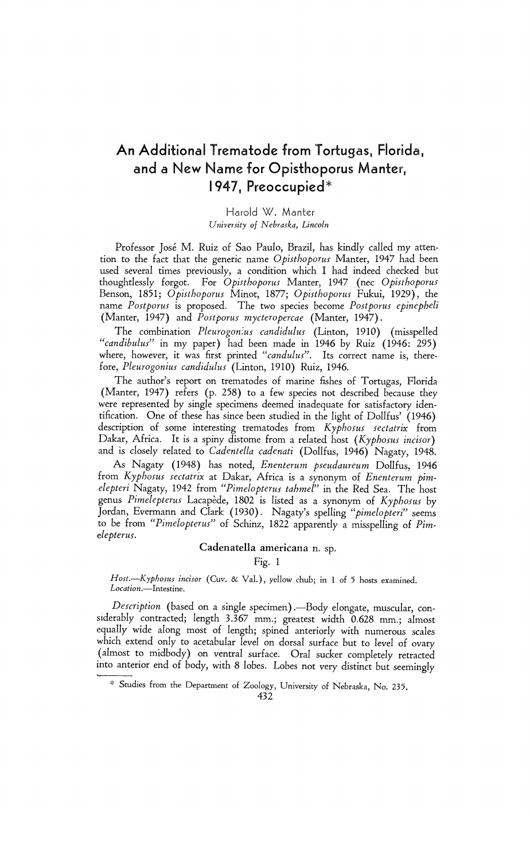### An Additional Trematode from Tortugas, Florida, and a New Name for Opisthoporus Manter, 1947, Preoccupied\*

#### Harold W. Manter University of Nebraska, Lincoln

Professor José M. Ruiz of Sao Paulo, Brazil, has kindly called my atten tion to the fact that the generic name Opisthoporus Manter, 1947 had been used several times previously, a condition which I had indeed checked but thoughtlessly forgot. For Opisthoporus Manter, 1947 (nec Opisthoporus Benson, 1851; Opisthoporus Minot, 1877; Opisthoporus Fukui, 1929), the name Postporus is proposed. The two species become Postporus epinepheli (Manter, 1947) and Postporus mycteropercae (Manter, 1947).

The combination Pleurogonius candidulus (Linton, 1910) (misspelled "candibulus" in my paper) had been made in 1946 by Ruiz (1946: 295) where, however, it was first printed "candulus". Its correct name is, therefore, Pleurogonius candidulus (Linton, 1910) Ruiz, 1946.

 The author's report on trematodes of marine fishes of Tortugas, Florida (Manter, 1947) refers (p. 258) to a few species not described because they were represented by single specimens deemed inadequate for satisfactory iden tification. One of these has since been studied in the light of Dollfus' (1946) description of some interesting trematodes from Kyphosus sectatrix from Dakar, Africa. It is a spiny distome from a related host  $(Kyphosus incisor)$ and is closely related to Cadentella cadenati (Dollfus, 1946) Nagaty, 1948.

 As Nagaty (1948) has noted, Enenterum pseudaureum Dollfus, 1946 from Kyphosus sectatrix at Dakar, Africa is a synonym of Enenterum pimelepteri Nagaty, 1942 from "Pimelopterus tahmel" in the Red Sea. The host genus Pimelepterus Lacapede, 1802 is listed as a synonym of Kyphosus by Jordan, Evermann and Clark (1930). Nagaty's spelling "pimelopteri" seems to be from "Pimelopterus" of Schinz, 1822 apparently a misspelling of Pimelepterus.

#### Cadenatella americana n. sp.

Fig. 1

Host.--Kyphosus incisor (Cuv. & Val.), yellow chub; in 1 of 5 hosts examined. Location.-Intestine.

Description (based on a single specimen).—Body elongate, muscular, con siderably contracted; length 3.367 mm.; greatest width 0.628 mm.; almost equally wide along most of length; spined anteriorly with numerous scales which extend only to acetabular level on dorsal surface but to level of ovary (almost to midbody) on ventral surface. Oral sucker completely retracted into anterior end of body, with 8 lobes. Lobes not very distinct but seemingly

Studies from the Department of Zoology, University of Nebraska, No. 235.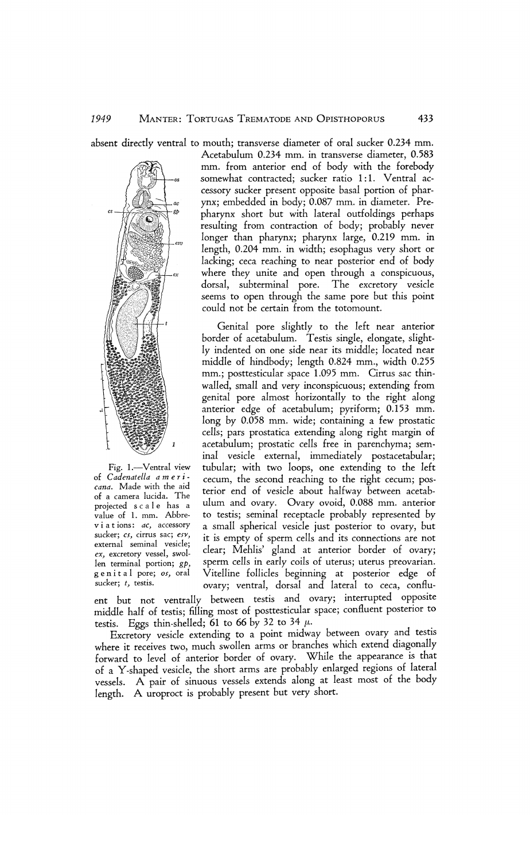absent directly ventral to mouth; transverse diameter of oral sucker 0.234 mm.



Fig. 1.-Ventral view of Cadenatella a m e r i cana. Made with the aid of a camera lucida. The projected s c a 1 e has a value of 1. mm. Abbre viations: ac, accessory sucker; cs, cirrus sac; esv, external seminal vesicle; ex, excretory vessel, swol len terminal portion; gp, g e n i t a l pore; os, oral sucker; t, testis.

 Acetabulum 0.234 mm. in transverse diameter, 0.583 mm. from anterior end of body with the forebody somewhat contracted; sucker ratio 1:1. Ventral ac cessory sucker present opposite basal portion of phar ynx; embedded in body; 0.087 mm. in diameter. Pre pharynx short but with lateral outfoldings perhaps resulting from contraction of body; probably never longer than pharynx; pharynx large, 0.219 mm. in length, 0.204 mm. in width; esophagus very short or lacking; ceca reaching to near posterior end of body where they unite and open through a conspicuous, dorsal, subterminal pore. The excretory vesicle seems to open through the same pore but this point could not be certain from the totomount.

 Genital pore slightly to the left near anterior border of acetabulum. Testis single, elongate, slight ly indented on one side near its middle; located near middle of hindbody; length 0.824 mm., width 0.255 mm.; posttesticular space 1.095 mm. Cirrus sac thin walled, small and very inconspicuous; extending from genital pore almost horizontally to the right along anterior edge of acetabulum; pyriform; 0.153 mm. long by 0.058 mm. wide; containing a few prostatic cells; pars prostatica extending along right margin of acetabulum; prostatic cells free in parenchyma; sem inal vesicle external, immediately postacetabular; tubular; with two loops, one extending to the left cecum, the second reaching to the right cecum; pos terior end of vesicle about halfway between acetab ulum and ovary. Ovary ovoid, 0.088 mm. anterior to testis; seminal receptacle probably represented by a small spherical vesicle just posterior to ovary, but it is empty of sperm cells and its connections are not clear; Mehlis' gland at anterior border of ovary; sperm cells in early coils of uterus; uterus preovarian. Vitelline follicles beginning at posterior edge of ovary; ventral, dorsal and lateral to ceca, conflu-

 ent but not ventrally between testis and ovary; interrupted opposite middle half of testis; filling most of posttesticular space; confluent posterior to testis. Eggs thin-shelled;  $61$  to  $66$  by 32 to 34  $\mu$ .

 Excretory vesicle extending to a point midway between ovary and testis where it receives two, much swollen arms or branches which extend diagonally forward to level of anterior border of ovary. While the appearance is that of a Y-shaped vesicle, the short arms are probably enlarged regions of lateral vessels. A pair of sinuous vessels extends along at least most of the body length. A uroproct is probably present but very short.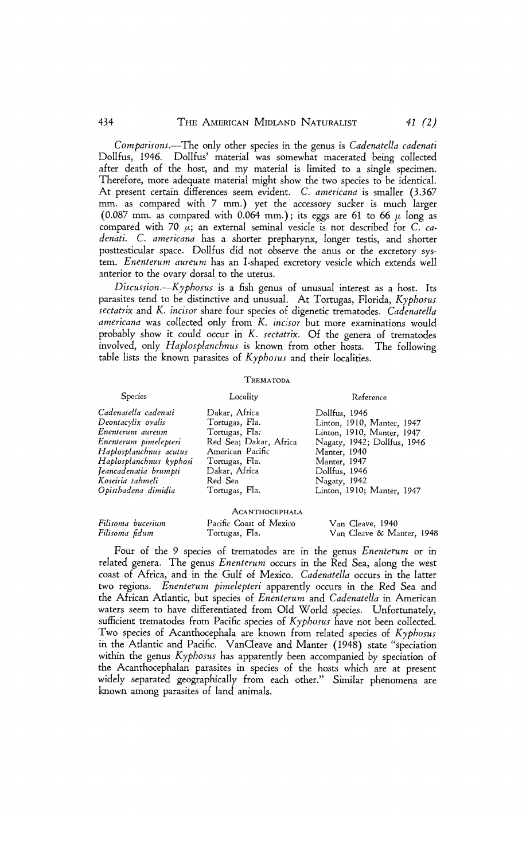Comparisons.-The only other species in the genus is Cadenatella cadenati Dollfus, 1946. Dollfus' material was somewhat macerated being collected after death of the host, and my material is limited to a single specimen. Therefore, more adequate material might show the two species to be identical. At present certain differences seem evident. C. americana is smaller (3.367 mm. as compared with 7 mm.) yet the accessory sucker is much larger (0.087 mm. as compared with 0.064 mm.); its eggs are 61 to 66  $\mu$  long as compared with 70  $\mu$ ; an external seminal vesicle is not described for C. ca denati. C. americana has a shorter prepharynx, longer testis, and shorter posttesticular space. Dollfus did not observe the anus or the excretory sys tem. Enenterum aureum has an I-shaped excretory vesicle which extends well anterior to the ovary dorsal to the uterus.

Discussion.- $Kyphosus$  is a fish genus of unusual interest as a host. Its parasites tend to be distinctive and unusual. At Tortugas, Florida, Kyphosus sectatrix and K. incisor share four species of digenetic trematodes. Cadenatella americana was collected only from K. incisor but more examinations would probably show it could occur in K. sectatrix. Of the genera of trematodes involved, only Haplosplanchnus is known from other hosts. The following table lists the known parasites of  $Kyphosus$  and their localities.

#### TREMATODA

#### Species Locality Reference Cadenatella cadenati Dakar, Africa Dollfus, 1946 Deontacylix ovalis Tortugas, Fla. Linton, 1910, Manter, 1947 Enenterum aureum Tortugas, Fla: Linton, 1910, Manter, 1947 Red Sea; Dakar, Africa Nagaty, 1942; Dollfus, 1946<br>American Pacific Manter, 1940 Haplosplanchnus acutus American Pacific Manter, 1940<br>Haplosplanchnus kyphosi Tortugas, Fla. Manter, 1947 Haplosplanchnus kyphosi Tortugas, Fla. Manter, 1947 Jeancadenatia brumpti Dakar, Africa Dollfus, 1946 Koseiria tahmeli Red Sea Nagaty, 1942 Linton, 1910; Manter, 1947

|                |                   | ACANTHOCEPHALA                            |                                               |  |
|----------------|-------------------|-------------------------------------------|-----------------------------------------------|--|
| Filisoma fidum | Filisoma bucerium | Pacific Coast of Mexico<br>Tortugas, Fla. | Van Cleave, 1940<br>Van Cleave & Manter, 1948 |  |

Four of the 9 species of trematodes are in the genus *Enenterum* or in related genera. The genus *Enenterum* occurs in the Red Sea, along the west coast of Africa, and in the Gulf of Mexico. Cadenatella occurs in the latter two regions. Enenterum pimelepteri apparently occurs in the Red Sea and the African Atlantic, but species of Enenterum and Cadenatella in American waters seem to have differentiated from Old World species. Unfortunately, sufficient trematodes from Pacific species of Kyphosus have not been collected. Two species of Acanthocephala are known from related species of Kyphosus in the Atlantic and Pacific. VanCleave and Manter (1948) state "speciation within the genus Kyphosus has apparently been accompanied by speciation of the Acanthocephalan parasites in species of the hosts which are at present widely separated geographically from each other." Similar phenomena are known among parasites of land animals.